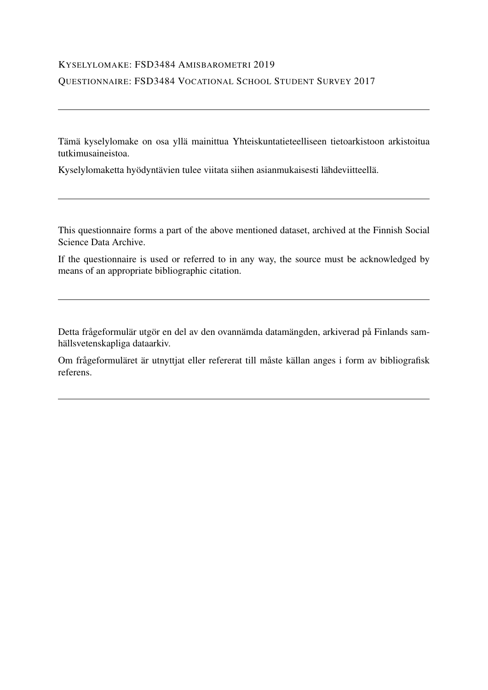#### KYSELYLOMAKE: FSD3484 AMISBAROMETRI 2019

#### QUESTIONNAIRE: FSD3484 VOCATIONAL SCHOOL STUDENT SURVEY 2017

Tämä kyselylomake on osa yllä mainittua Yhteiskuntatieteelliseen tietoarkistoon arkistoitua tutkimusaineistoa.

Kyselylomaketta hyödyntävien tulee viitata siihen asianmukaisesti lähdeviitteellä.

This questionnaire forms a part of the above mentioned dataset, archived at the Finnish Social Science Data Archive.

If the questionnaire is used or referred to in any way, the source must be acknowledged by means of an appropriate bibliographic citation.

Detta frågeformulär utgör en del av den ovannämda datamängden, arkiverad på Finlands samhällsvetenskapliga dataarkiv.

Om frågeformuläret är utnyttjat eller refererat till måste källan anges i form av bibliografisk referens.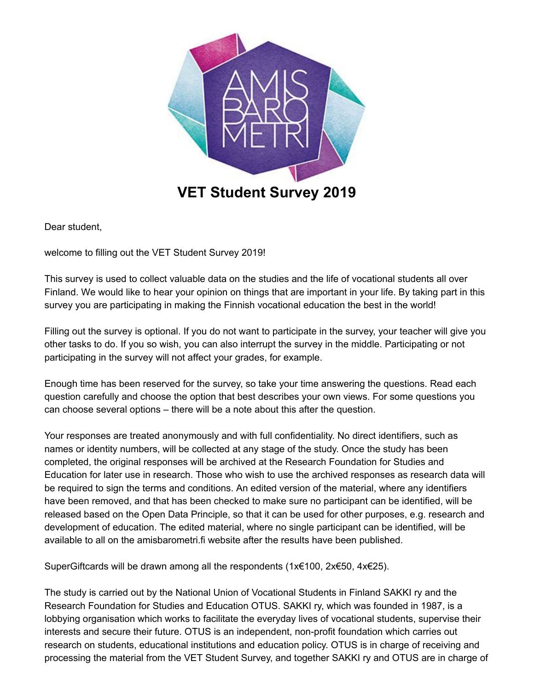

**VET Student Survey 2019**

Dear student,

welcome to filling out the VET Student Survey 2019!

This survey is used to collect valuable data on the studies and the life of vocational students all over Finland. We would like to hear your opinion on things that are important in your life. By taking part in this survey you are participating in making the Finnish vocational education the best in the world!

Filling out the survey is optional. If you do not want to participate in the survey, your teacher will give you other tasks to do. If you so wish, you can also interrupt the survey in the middle. Participating or not participating in the survey will not affect your grades, for example.

Enough time has been reserved for the survey, so take your time answering the questions. Read each question carefully and choose the option that best describes your own views. For some questions you can choose several options – there will be a note about this after the question.

Your responses are treated anonymously and with full confidentiality. No direct identifiers, such as names or identity numbers, will be collected at any stage of the study. Once the study has been completed, the original responses will be archived at the Research Foundation for Studies and Education for later use in research. Those who wish to use the archived responses as research data will be required to sign the terms and conditions. An edited version of the material, where any identifiers have been removed, and that has been checked to make sure no participant can be identified, will be released based on the Open Data Principle, so that it can be used for other purposes, e.g. research and development of education. The edited material, where no single participant can be identified, will be available to all on the amisbarometri.fi website after the results have been published.

SuperGiftcards will be drawn among all the respondents (1x€100, 2x€50, 4x€25).

The study is carried out by the National Union of Vocational Students in Finland SAKKI ry and the Research Foundation for Studies and Education OTUS. SAKKI ry, which was founded in 1987, is a lobbying organisation which works to facilitate the everyday lives of vocational students, supervise their interests and secure their future. OTUS is an independent, non-profit foundation which carries out research on students, educational institutions and education policy. OTUS is in charge of receiving and processing the material from the VET Student Survey, and together SAKKI ry and OTUS are in charge of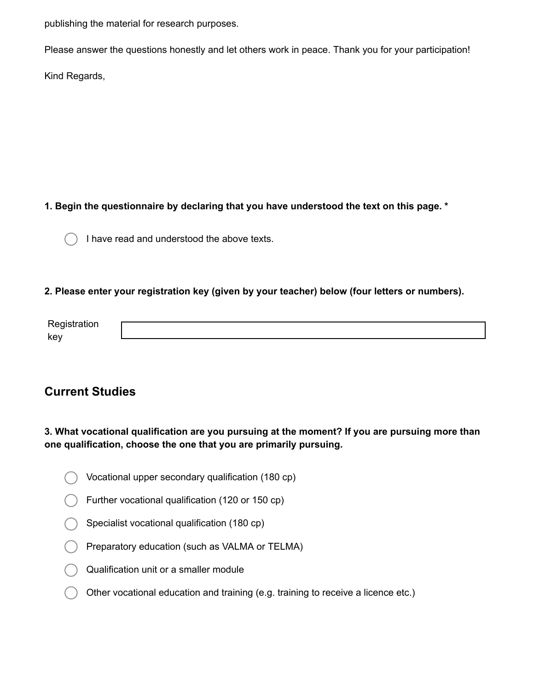publishing the material for research purposes.

Please answer the questions honestly and let others work in peace. Thank you for your participation!

Kind Regards,

## **1. Begin the questionnaire by declaring that you have understood the text on this page. \***

I have read and understood the above texts.

### **2. Please enter your registration key (given by your teacher) below (four letters or numbers).**

## **Current Studies**

## **3. What vocational qualification are you pursuing at the moment? If you are pursuing more than one qualification, choose the one that you are primarily pursuing.**

- Vocational upper secondary qualification (180 cp)
- Further vocational qualification (120 or 150 cp)
- Specialist vocational qualification (180 cp)
- Preparatory education (such as VALMA or TELMA)
- Qualification unit or a smaller module
- Other vocational education and training (e.g. training to receive a licence etc.)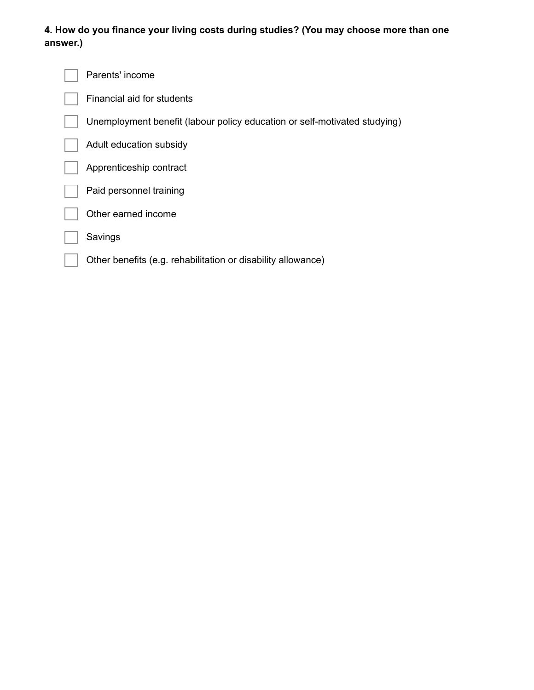## **4. How do you finance your living costs during studies? (You may choose more than one answer.)**

| Parents' income                                                           |
|---------------------------------------------------------------------------|
| Financial aid for students                                                |
| Unemployment benefit (labour policy education or self-motivated studying) |
| Adult education subsidy                                                   |
| Apprenticeship contract                                                   |
| Paid personnel training                                                   |
| Other earned income                                                       |
| Savings                                                                   |
| Other benefits (e.g. rehabilitation or disability allowance)              |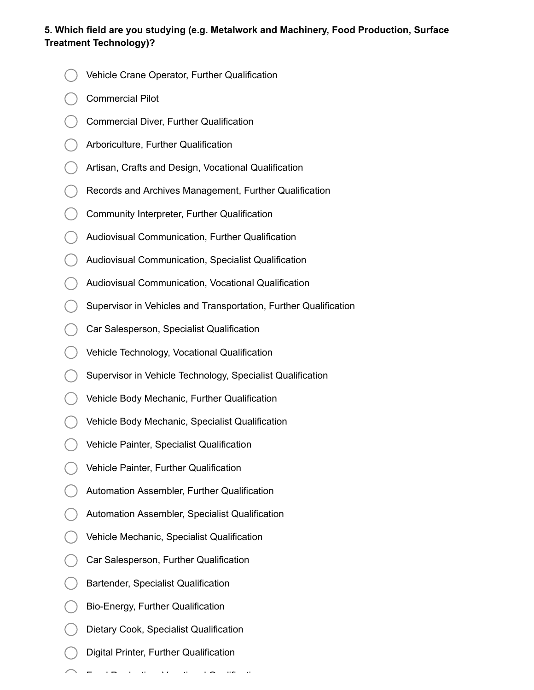## **5. Which field are you studying (e.g. Metalwork and Machinery, Food Production, Surface Treatment Technology)?**

- Vehicle Crane Operator, Further Qualification
- Commercial Pilot
- Commercial Diver, Further Qualification
- Arboriculture, Further Qualification
- Artisan, Crafts and Design, Vocational Qualification
- Records and Archives Management, Further Qualification
- Community Interpreter, Further Qualification
- Audiovisual Communication, Further Qualification
- Audiovisual Communication, Specialist Qualification
- Audiovisual Communication, Vocational Qualification
- Supervisor in Vehicles and Transportation, Further Qualification
- Car Salesperson, Specialist Qualification
- Vehicle Technology, Vocational Qualification
- Supervisor in Vehicle Technology, Specialist Qualification
- Vehicle Body Mechanic, Further Qualification
- Vehicle Body Mechanic, Specialist Qualification
- Vehicle Painter, Specialist Qualification
- Vehicle Painter, Further Qualification
- Automation Assembler, Further Qualification
- Automation Assembler, Specialist Qualification
- Vehicle Mechanic, Specialist Qualification
- Car Salesperson, Further Qualification
- Bartender, Specialist Qualification
- Bio-Energy, Further Qualification
- Dietary Cook, Specialist Qualification
- Digital Printer, Further Qualification

Food Production, Vocational Qualification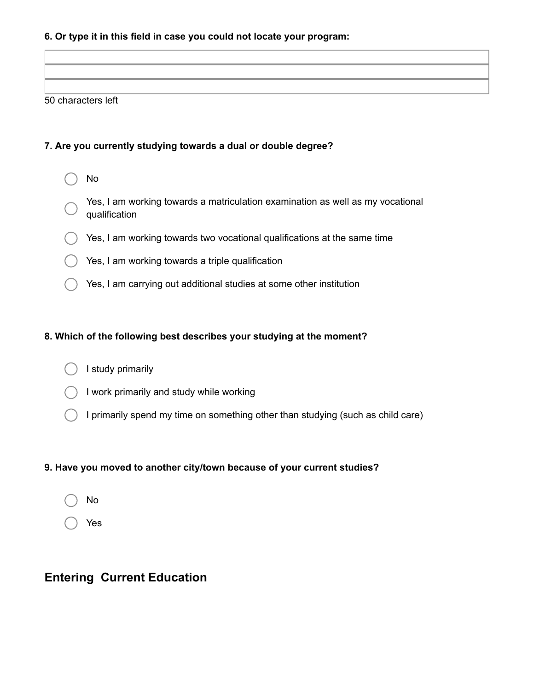#### **6. Or type it in this field in case you could not locate your program:**

#### 50 characters left

#### **7. Are you currently studying towards a dual or double degree?**

- No
- Yes, I am working towards a matriculation examination as well as my vocational qualification
- Yes, I am working towards two vocational qualifications at the same time
- Yes, I am working towards a triple qualification
- Yes, I am carrying out additional studies at some other institution

#### **8. Which of the following best describes your studying at the moment?**

- I study primarily
- I work primarily and study while working
- I primarily spend my time on something other than studying (such as child care)

#### **9. Have you moved to another city/town because of your current studies?**

- No
- Yes

## **Entering Current Education**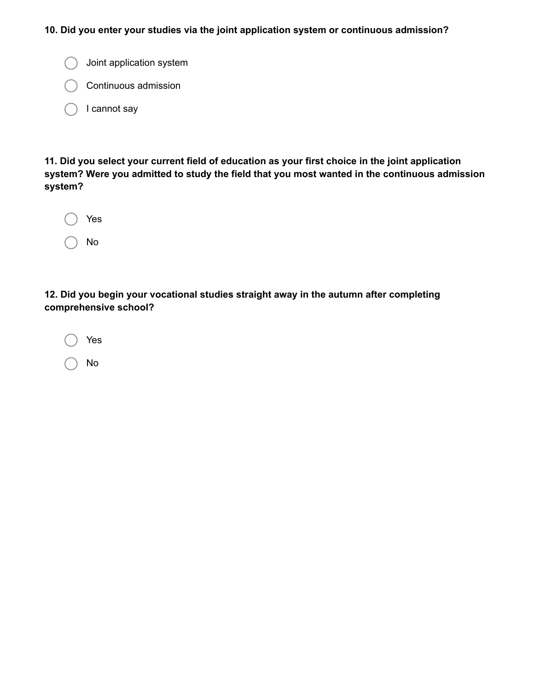#### **10. Did you enter your studies via the joint application system or continuous admission?**

- $\bigcirc$  Joint application system
- Continuous admission
- I cannot say

**11. Did you select your current field of education as your first choice in the joint application system? Were you admitted to study the field that you most wanted in the continuous admission system?**

| Yes |
|-----|
| No  |

**12. Did you begin your vocational studies straight away in the autumn after completing comprehensive school?**

| Yes |
|-----|
| No  |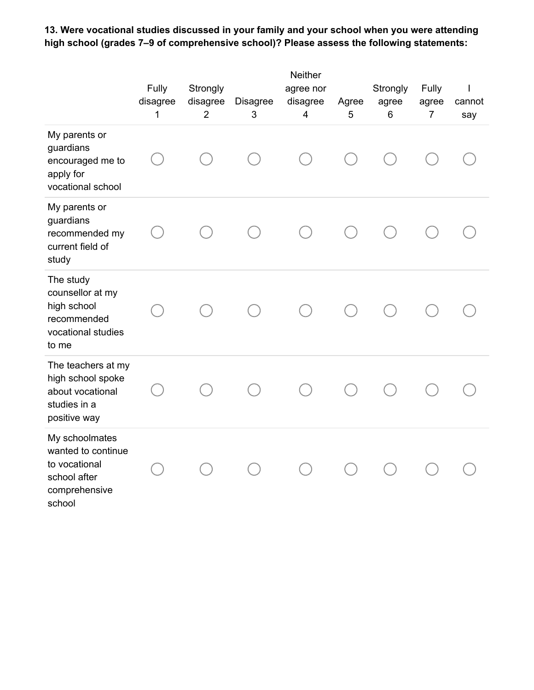**13. Were vocational studies discussed in your family and your school when you were attending high school (grades 7–9 of comprehensive school)? Please assess the following statements:**

|                                                                                                  | Fully<br>disagree<br>1 | Strongly<br>disagree<br>$\overline{2}$ | <b>Disagree</b><br>3 | Neither<br>agree nor<br>disagree<br>4 | Agree<br>5 | Strongly<br>agree<br>6 | Fully<br>agree<br>$\overline{7}$ | cannot<br>say |
|--------------------------------------------------------------------------------------------------|------------------------|----------------------------------------|----------------------|---------------------------------------|------------|------------------------|----------------------------------|---------------|
| My parents or<br>guardians<br>encouraged me to<br>apply for<br>vocational school                 |                        |                                        |                      |                                       |            |                        |                                  |               |
| My parents or<br>guardians<br>recommended my<br>current field of<br>study                        |                        |                                        |                      |                                       |            |                        |                                  |               |
| The study<br>counsellor at my<br>high school<br>recommended<br>vocational studies<br>to me       |                        |                                        |                      |                                       |            |                        |                                  |               |
| The teachers at my<br>high school spoke<br>about vocational<br>studies in a<br>positive way      |                        |                                        |                      |                                       |            |                        |                                  |               |
| My schoolmates<br>wanted to continue<br>to vocational<br>school after<br>comprehensive<br>school |                        |                                        |                      |                                       |            |                        |                                  |               |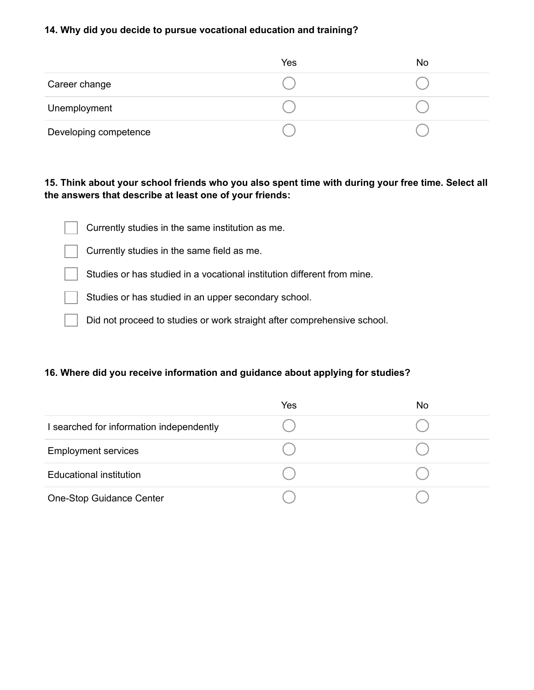#### **14. Why did you decide to pursue vocational education and training?**

|                       | Yes | No |
|-----------------------|-----|----|
| Career change         |     |    |
| Unemployment          |     |    |
| Developing competence |     |    |

#### **15. Think about your school friends who you also spent time with during your free time. Select all the answers that describe at least one of your friends:**

Currently studies in the same institution as me.



Studies or has studied in a vocational institution different from mine.

Studies or has studied in an upper secondary school.

Did not proceed to studies or work straight after comprehensive school.

#### **16. Where did you receive information and guidance about applying for studies?**

|                                          | Yes | No |
|------------------------------------------|-----|----|
| I searched for information independently |     |    |
| <b>Employment services</b>               |     |    |
| <b>Educational institution</b>           |     |    |
| One-Stop Guidance Center                 |     |    |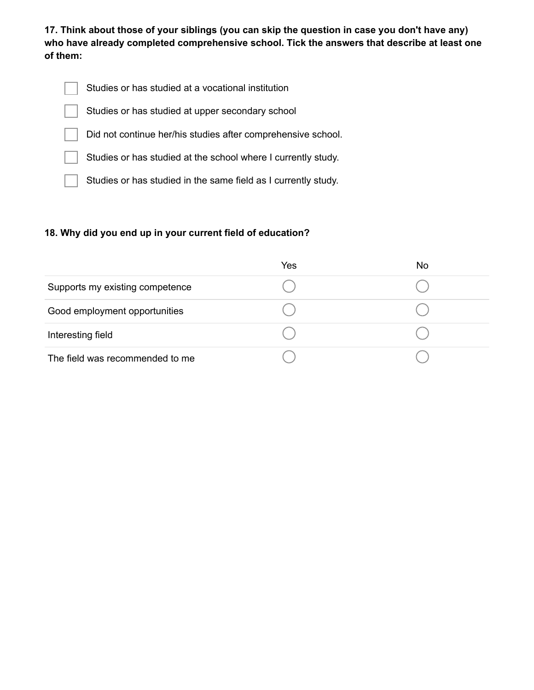**17. Think about those of your siblings (you can skip the question in case you don't have any) who have already completed comprehensive school. Tick the answers that describe at least one of them:**

- Studies or has studied at a vocational institution Studies or has studied at upper secondary school Did not continue her/his studies after comprehensive school. Studies or has studied at the school where I currently study.
	- Studies or has studied in the same field as I currently study.

## **18. Why did you end up in your current field of education?**

|                                 | Yes | No |
|---------------------------------|-----|----|
| Supports my existing competence |     |    |
| Good employment opportunities   |     |    |
| Interesting field               |     |    |
| The field was recommended to me |     |    |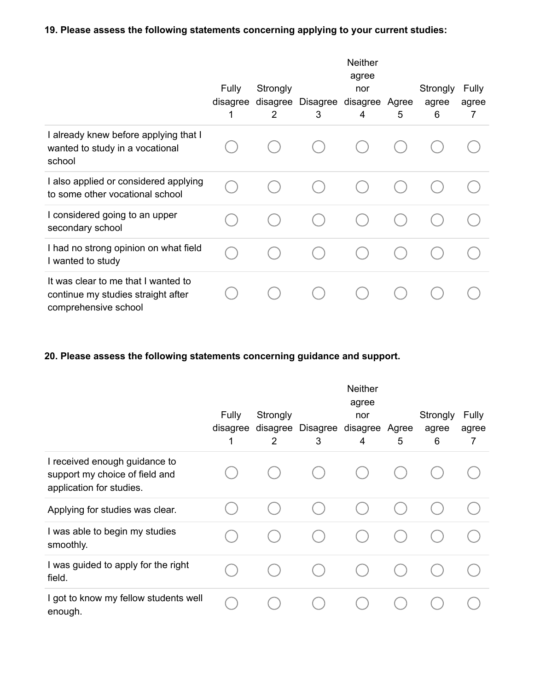## **19. Please assess the following statements concerning applying to your current studies:**

|                                                                                                   | <b>Fully</b><br>disagree<br>1 | Strongly<br>disagree<br>2 | Disagree disagree Agree<br>3 | <b>Neither</b><br>agree<br>nor<br>4 | 5 | Strongly<br>agree<br>6 | Fully<br>agree<br>7 |
|---------------------------------------------------------------------------------------------------|-------------------------------|---------------------------|------------------------------|-------------------------------------|---|------------------------|---------------------|
| I already knew before applying that I<br>wanted to study in a vocational<br>school                |                               |                           |                              |                                     |   |                        |                     |
| I also applied or considered applying<br>to some other vocational school                          |                               |                           |                              |                                     |   |                        |                     |
| I considered going to an upper<br>secondary school                                                |                               |                           |                              |                                     |   |                        |                     |
| I had no strong opinion on what field<br>I wanted to study                                        |                               |                           |                              |                                     |   |                        |                     |
| It was clear to me that I wanted to<br>continue my studies straight after<br>comprehensive school |                               |                           |                              |                                     |   |                        |                     |

## **20. Please assess the following statements concerning guidance and support.**

|                                                                                             | Fully<br>disagree<br>1 | Strongly<br>disagree<br>2 | Disagree<br>3 | <b>Neither</b><br>agree<br>nor<br>disagree<br>4 | Agree<br>5 | Strongly<br>agree<br>6 | Fully<br>agree<br>7 |
|---------------------------------------------------------------------------------------------|------------------------|---------------------------|---------------|-------------------------------------------------|------------|------------------------|---------------------|
| I received enough guidance to<br>support my choice of field and<br>application for studies. |                        |                           |               |                                                 |            |                        |                     |
| Applying for studies was clear.                                                             |                        |                           |               |                                                 |            |                        |                     |
| I was able to begin my studies<br>smoothly.                                                 |                        |                           |               |                                                 |            |                        |                     |
| I was guided to apply for the right<br>field.                                               |                        |                           |               |                                                 |            |                        |                     |
| I got to know my fellow students well<br>enough.                                            |                        |                           |               |                                                 |            |                        |                     |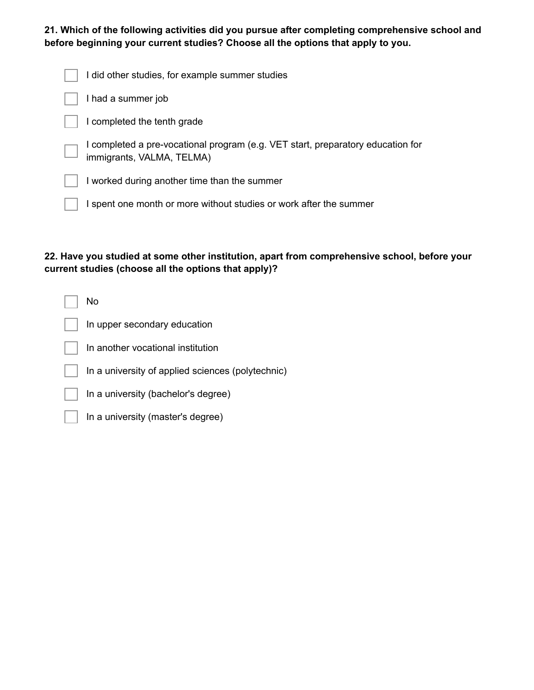**21. Which of the following activities did you pursue after completing comprehensive school and before beginning your current studies? Choose all the options that apply to you.**

| I did other studies, for example summer studies                                                           |
|-----------------------------------------------------------------------------------------------------------|
| I had a summer job                                                                                        |
| I completed the tenth grade                                                                               |
| I completed a pre-vocational program (e.g. VET start, preparatory education for immigrants, VALMA, TELMA) |
| I worked during another time than the summer                                                              |
| I spent one month or more without studies or work after the summer                                        |

## **22. Have you studied at some other institution, apart from comprehensive school, before your current studies (choose all the options that apply)?**

| No                                                |
|---------------------------------------------------|
| In upper secondary education                      |
| In another vocational institution                 |
| In a university of applied sciences (polytechnic) |
| In a university (bachelor's degree)               |
| In a university (master's degree)                 |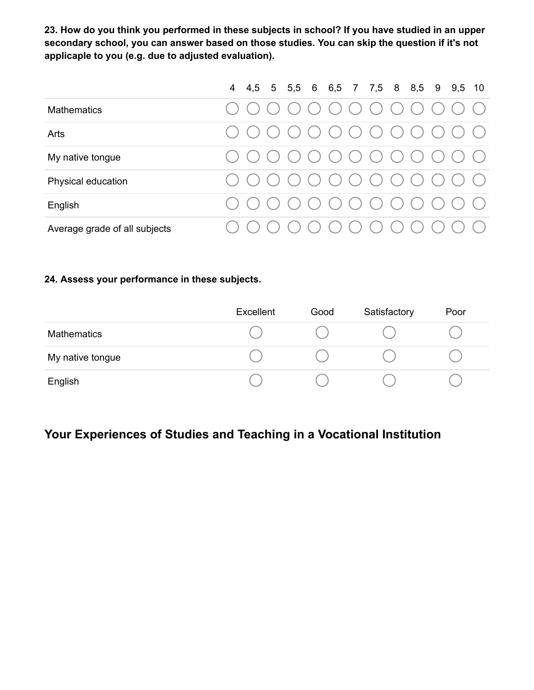**23. How do you think you performed in these subjects in school? If you have studied in an upper secondary school, you can answer based on those studies. You can skip the question if it's not applicaple to you (e.g. due to adjusted evaluation).**

|                               |  |  |  |  | 4 4,5 5 5,5 6 6,5 7 7,5 8 8,5 9 9,5 10 |  |  |
|-------------------------------|--|--|--|--|----------------------------------------|--|--|
| <b>Mathematics</b>            |  |  |  |  |                                        |  |  |
| Arts                          |  |  |  |  | $\bigcirc$                             |  |  |
| My native tongue              |  |  |  |  | 0000000000000                          |  |  |
| Physical education            |  |  |  |  | $\bigcirc$                             |  |  |
| English                       |  |  |  |  | 0000000000000                          |  |  |
| Average grade of all subjects |  |  |  |  | $\bigcirc$                             |  |  |

### **24. Assess your performance in these subjects.**

|                    | Excellent | Good | Satisfactory | Poor |
|--------------------|-----------|------|--------------|------|
| <b>Mathematics</b> |           |      |              |      |
| My native tongue   |           |      |              |      |
| English            |           |      |              |      |

# **Your Experiences of Studies and Teaching in a Vocational Institution**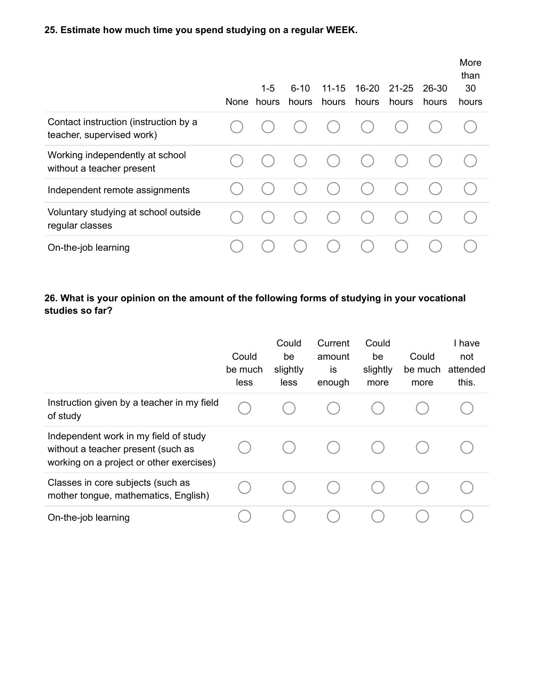## **25. Estimate how much time you spend studying on a regular WEEK.**

|                                                                    | None | $1 - 5$<br>hours | $6 - 10$<br>hours | $11 - 15$<br>hours | 16-20<br>hours | $21 - 25$<br>hours | 26-30<br>hours | More<br>than<br>30<br>hours |
|--------------------------------------------------------------------|------|------------------|-------------------|--------------------|----------------|--------------------|----------------|-----------------------------|
| Contact instruction (instruction by a<br>teacher, supervised work) |      |                  |                   |                    |                |                    |                |                             |
| Working independently at school<br>without a teacher present       |      |                  |                   |                    |                |                    |                |                             |
| Independent remote assignments                                     |      |                  |                   |                    |                |                    |                |                             |
| Voluntary studying at school outside<br>regular classes            |      |                  |                   |                    |                |                    |                |                             |
| On-the-job learning                                                |      |                  |                   |                    |                |                    |                |                             |

## **26. What is your opinion on the amount of the following forms of studying in your vocational studies so far?**

|                                                                                                                         | Could<br>be much<br>less | Could<br>be<br>slightly<br>less | Current<br>amount<br>is<br>enough | Could<br>be<br>slightly<br>more | Could<br>be much<br>more | I have<br>not<br>attended<br>this. |
|-------------------------------------------------------------------------------------------------------------------------|--------------------------|---------------------------------|-----------------------------------|---------------------------------|--------------------------|------------------------------------|
| Instruction given by a teacher in my field<br>of study                                                                  |                          |                                 |                                   |                                 |                          |                                    |
| Independent work in my field of study<br>without a teacher present (such as<br>working on a project or other exercises) |                          |                                 |                                   |                                 |                          |                                    |
| Classes in core subjects (such as<br>mother tongue, mathematics, English)                                               |                          |                                 |                                   |                                 |                          |                                    |
| On-the-job learning                                                                                                     |                          |                                 |                                   |                                 |                          |                                    |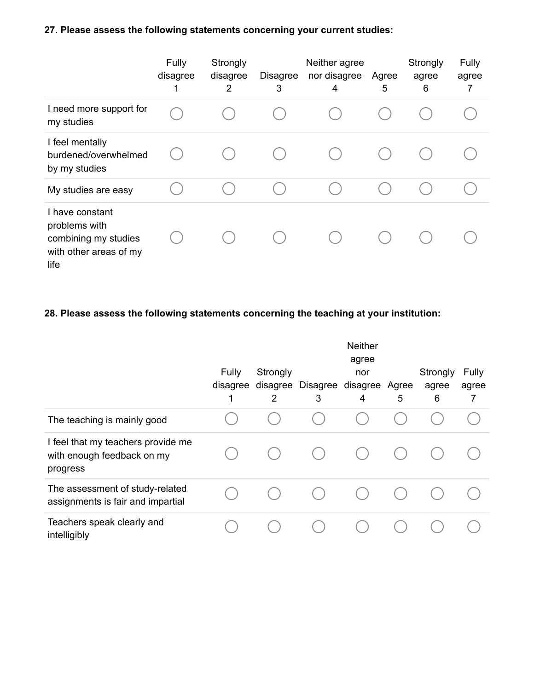## **27. Please assess the following statements concerning your current studies:**

|                                                                                            | Fully<br>disagree<br>1 | Strongly<br>disagree<br>2 | <b>Disagree</b><br>3 | Neither agree<br>nor disagree<br>4 | Agree<br>5 | Strongly<br>agree<br>6 | Fully<br>agree<br>7 |
|--------------------------------------------------------------------------------------------|------------------------|---------------------------|----------------------|------------------------------------|------------|------------------------|---------------------|
| I need more support for<br>my studies                                                      |                        |                           |                      |                                    |            |                        |                     |
| I feel mentally<br>burdened/overwhelmed<br>by my studies                                   |                        |                           |                      |                                    |            |                        |                     |
| My studies are easy                                                                        |                        |                           |                      |                                    |            |                        |                     |
| I have constant<br>problems with<br>combining my studies<br>with other areas of my<br>life |                        |                           |                      |                                    |            |                        |                     |

## **28. Please assess the following statements concerning the teaching at your institution:**

|                                                                              | Fully<br>disagree | Strongly<br>disagree<br>2 | Disagree<br>3 | <b>Neither</b><br>agree<br>nor<br>disagree<br>4 | Agree<br>5 | Strongly<br>agree<br>6 | Fully<br>agree<br>7 |
|------------------------------------------------------------------------------|-------------------|---------------------------|---------------|-------------------------------------------------|------------|------------------------|---------------------|
| The teaching is mainly good                                                  |                   |                           |               |                                                 |            |                        |                     |
| I feel that my teachers provide me<br>with enough feedback on my<br>progress |                   |                           |               |                                                 |            |                        |                     |
| The assessment of study-related<br>assignments is fair and impartial         |                   |                           |               |                                                 |            |                        |                     |
| Teachers speak clearly and<br>intelligibly                                   |                   |                           |               |                                                 |            |                        |                     |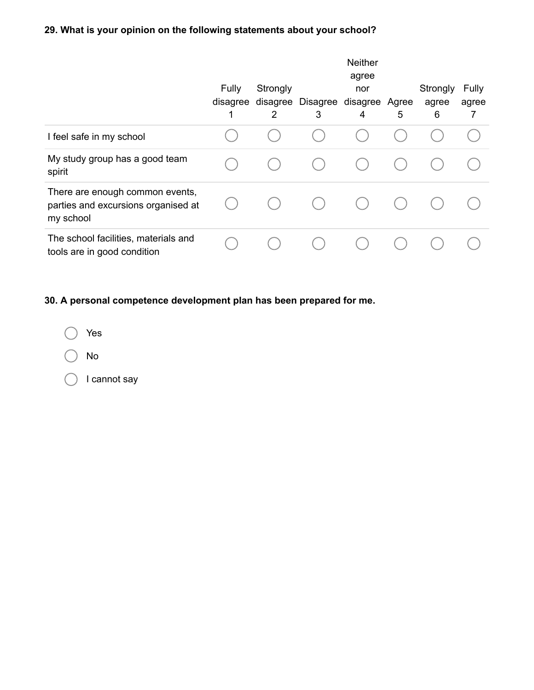# **29. What is your opinion on the following statements about your school?**

|                                                                                     | Fully<br>disagree | Strongly<br>disagree<br>2 | Disagree<br>3 | <b>Neither</b><br>agree<br>nor<br>disagree Agree<br>4 | 5 | Strongly<br>agree<br>6 | Fully<br>agree<br>7 |
|-------------------------------------------------------------------------------------|-------------------|---------------------------|---------------|-------------------------------------------------------|---|------------------------|---------------------|
| I feel safe in my school                                                            |                   |                           |               |                                                       |   |                        |                     |
| My study group has a good team<br>spirit                                            |                   |                           |               |                                                       |   |                        |                     |
| There are enough common events,<br>parties and excursions organised at<br>my school |                   |                           |               |                                                       |   |                        |                     |
| The school facilities, materials and<br>tools are in good condition                 |                   |                           |               |                                                       |   |                        |                     |

## **30. A personal competence development plan has been prepared for me.**

Yes No

I cannot say $\bigcirc$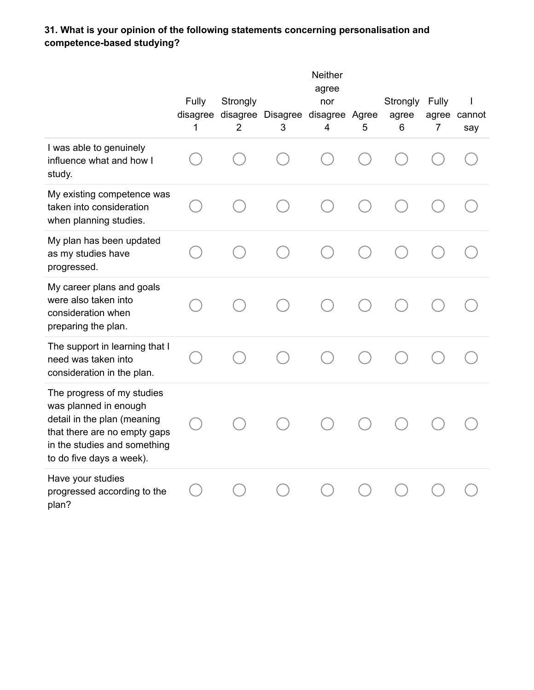## **31. What is your opinion of the following statements concerning personalisation and competence-based studying?**

|                                                                                                                                                                                | Fully<br>1 | Strongly<br>2 | disagree disagree Disagree disagree Agree<br>3 | <b>Neither</b><br>agree<br>nor<br>$\overline{4}$ | 5 | Strongly<br>agree<br>6 | Fully<br>7 | I<br>agree cannot<br>say |
|--------------------------------------------------------------------------------------------------------------------------------------------------------------------------------|------------|---------------|------------------------------------------------|--------------------------------------------------|---|------------------------|------------|--------------------------|
| I was able to genuinely<br>influence what and how I<br>study.                                                                                                                  |            |               |                                                |                                                  |   |                        |            |                          |
| My existing competence was<br>taken into consideration<br>when planning studies.                                                                                               |            |               |                                                |                                                  |   |                        |            |                          |
| My plan has been updated<br>as my studies have<br>progressed.                                                                                                                  |            |               |                                                |                                                  |   |                        |            |                          |
| My career plans and goals<br>were also taken into<br>consideration when<br>preparing the plan.                                                                                 |            |               |                                                |                                                  |   |                        |            |                          |
| The support in learning that I<br>need was taken into<br>consideration in the plan.                                                                                            |            |               |                                                |                                                  |   |                        |            |                          |
| The progress of my studies<br>was planned in enough<br>detail in the plan (meaning<br>that there are no empty gaps<br>in the studies and something<br>to do five days a week). |            |               |                                                |                                                  |   |                        |            |                          |
| Have your studies<br>progressed according to the<br>plan?                                                                                                                      |            |               |                                                |                                                  |   |                        |            |                          |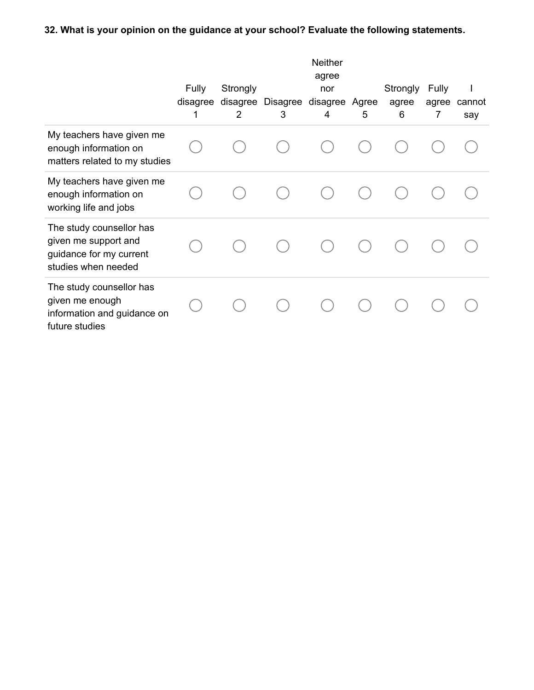## **32. What is your opinion on the guidance at your school? Evaluate the following statements.**

|                                                                                                    |                               |                           |               | Neither<br>agree     |            |                        |                     |               |
|----------------------------------------------------------------------------------------------------|-------------------------------|---------------------------|---------------|----------------------|------------|------------------------|---------------------|---------------|
|                                                                                                    | <b>Fully</b><br>disagree<br>1 | Strongly<br>disagree<br>2 | Disagree<br>3 | nor<br>disagree<br>4 | Agree<br>5 | Strongly<br>agree<br>6 | Fully<br>agree<br>7 | cannot<br>say |
| My teachers have given me<br>enough information on<br>matters related to my studies                |                               |                           |               |                      |            |                        |                     |               |
| My teachers have given me<br>enough information on<br>working life and jobs                        |                               |                           |               |                      |            |                        |                     |               |
| The study counsellor has<br>given me support and<br>guidance for my current<br>studies when needed |                               |                           |               |                      |            |                        |                     |               |
| The study counsellor has<br>given me enough<br>information and guidance on<br>future studies       |                               |                           |               |                      |            |                        |                     |               |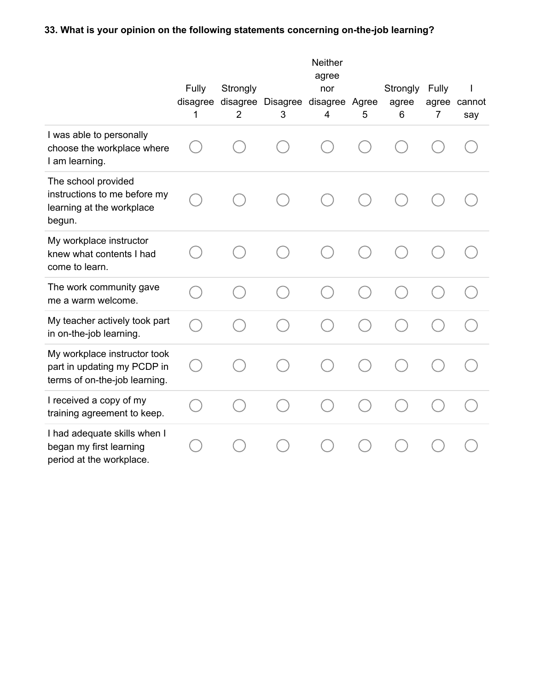## **33. What is your opinion on the following statements concerning on-the-job learning?**

|                                                                                              | Fully<br>1 | Strongly<br>$\overline{2}$ | disagree disagree Disagree disagree Agree<br>3 | <b>Neither</b><br>agree<br>nor<br>$\overline{4}$ | 5 | Strongly<br>agree<br>6 | Fully<br>7 | agree cannot<br>say |
|----------------------------------------------------------------------------------------------|------------|----------------------------|------------------------------------------------|--------------------------------------------------|---|------------------------|------------|---------------------|
| I was able to personally<br>choose the workplace where<br>I am learning.                     |            |                            |                                                |                                                  |   |                        |            |                     |
| The school provided<br>instructions to me before my<br>learning at the workplace<br>begun.   |            |                            |                                                |                                                  |   |                        |            |                     |
| My workplace instructor<br>knew what contents I had<br>come to learn.                        |            |                            |                                                |                                                  |   |                        |            |                     |
| The work community gave<br>me a warm welcome.                                                |            |                            |                                                |                                                  |   |                        |            |                     |
| My teacher actively took part<br>in on-the-job learning.                                     |            |                            |                                                |                                                  |   |                        |            |                     |
| My workplace instructor took<br>part in updating my PCDP in<br>terms of on-the-job learning. |            |                            |                                                |                                                  |   |                        |            |                     |
| I received a copy of my<br>training agreement to keep.                                       |            |                            |                                                |                                                  |   |                        |            |                     |
| I had adequate skills when I<br>began my first learning<br>period at the workplace.          |            |                            |                                                |                                                  |   |                        |            |                     |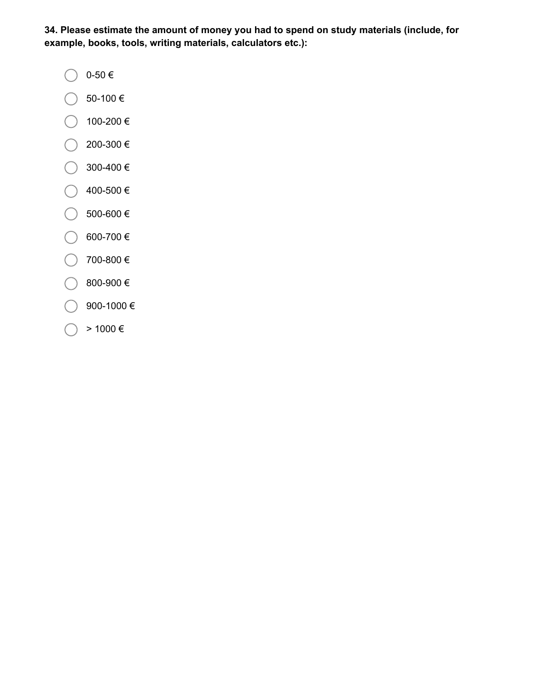**34. Please estimate the amount of money you had to spend on study materials (include, for example, books, tools, writing materials, calculators etc.):**

- 0-50 $\in$
- $\bigcirc$  50-100 €
- $\bigcirc$  100-200 €
- $\bigcirc$  200-300 €
- $\bigcirc$  300-400 €
- $\big)$  400-500 €
- $\bigcirc$  500-600 €
- $\bigcirc$  600-700 € €.
- 700-800 €
- $\big)$  800-900 €
- ◯ 900-1000 €
- $>$  1000  $\in$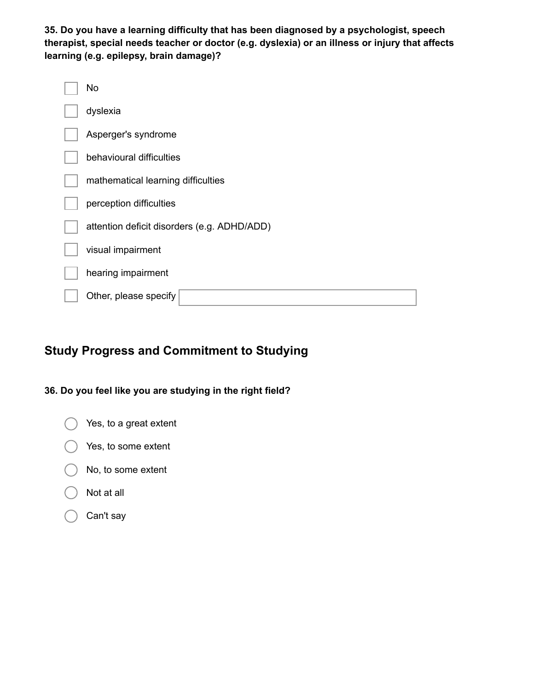**35. Do you have a learning difficulty that has been diagnosed by a psychologist, speech therapist, special needs teacher or doctor (e.g. dyslexia) or an illness or injury that affects learning (e.g. epilepsy, brain damage)?**

| No                                          |
|---------------------------------------------|
| dyslexia                                    |
| Asperger's syndrome                         |
| behavioural difficulties                    |
| mathematical learning difficulties          |
| perception difficulties                     |
| attention deficit disorders (e.g. ADHD/ADD) |
| visual impairment                           |
| hearing impairment                          |
| Other, please specify                       |

# **Study Progress and Commitment to Studying**

## **36. Do you feel like you are studying in the right field?**



- $( )$  Yes, to some extent
- $\bigcap$  No, to some extent
- Not at all
- Can't say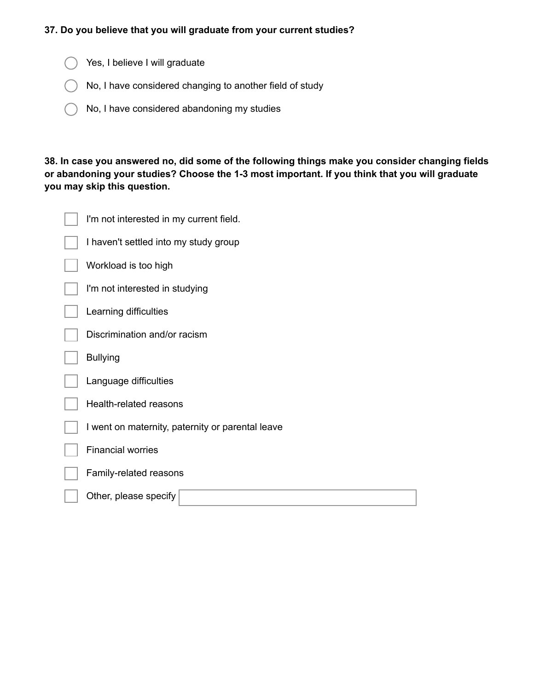#### **37. Do you believe that you will graduate from your current studies?**

- Sign Yes, I believe I will graduate
- No, I have considered changing to another field of study
- No, I have considered abandoning my studies

**38. In case you answered no, did some of the following things make you consider changing fields or abandoning your studies? Choose the 1-3 most important. If you think that you will graduate you may skip this question.**

| I'm not interested in my current field.          |
|--------------------------------------------------|
| I haven't settled into my study group            |
| Workload is too high                             |
| I'm not interested in studying                   |
| Learning difficulties                            |
| Discrimination and/or racism                     |
| <b>Bullying</b>                                  |
| Language difficulties                            |
| Health-related reasons                           |
| I went on maternity, paternity or parental leave |
| <b>Financial worries</b>                         |
| Family-related reasons                           |
| Other, please specify                            |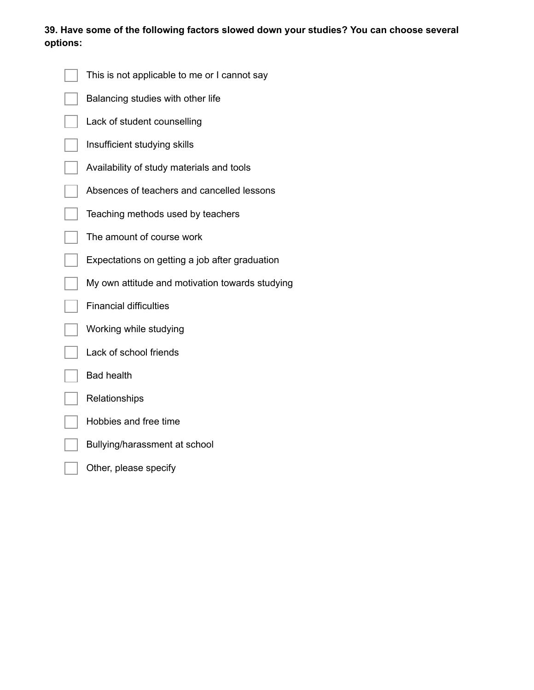## **39. Have some of the following factors slowed down your studies? You can choose several options:**

| This is not applicable to me or I cannot say    |
|-------------------------------------------------|
| Balancing studies with other life               |
| Lack of student counselling                     |
| Insufficient studying skills                    |
| Availability of study materials and tools       |
| Absences of teachers and cancelled lessons      |
| Teaching methods used by teachers               |
| The amount of course work                       |
| Expectations on getting a job after graduation  |
| My own attitude and motivation towards studying |
| <b>Financial difficulties</b>                   |
| Working while studying                          |
| Lack of school friends                          |
| <b>Bad health</b>                               |
| Relationships                                   |
| Hobbies and free time                           |
| Bullying/harassment at school                   |
| Other, please specify                           |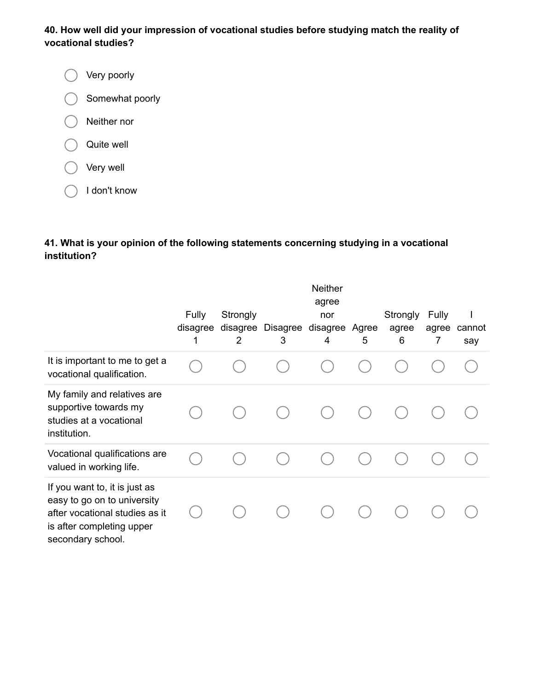## **40. How well did your impression of vocational studies before studying match the reality of vocational studies?**

Very poorly  $\bigcirc$ Somewhat poorly ◯ Neither nor Quite well Very well

I don't know

## **41. What is your opinion of the following statements concerning studying in a vocational institution?**

|                                                                                                                                                  |                        |                           |                        | Neither<br>agree |            |                        |                     |               |
|--------------------------------------------------------------------------------------------------------------------------------------------------|------------------------|---------------------------|------------------------|------------------|------------|------------------------|---------------------|---------------|
|                                                                                                                                                  | Fully<br>disagree<br>1 | Strongly<br>disagree<br>2 | Disagree disagree<br>3 | nor<br>4         | Agree<br>5 | Strongly<br>agree<br>6 | Fully<br>agree<br>7 | cannot<br>say |
| It is important to me to get a<br>vocational qualification.                                                                                      |                        |                           |                        |                  |            |                        |                     |               |
| My family and relatives are<br>supportive towards my<br>studies at a vocational<br>institution.                                                  |                        |                           |                        |                  |            |                        |                     |               |
| Vocational qualifications are<br>valued in working life.                                                                                         |                        |                           |                        |                  |            |                        |                     |               |
| If you want to, it is just as<br>easy to go on to university<br>after vocational studies as it<br>is after completing upper<br>secondary school. |                        |                           |                        |                  |            |                        |                     |               |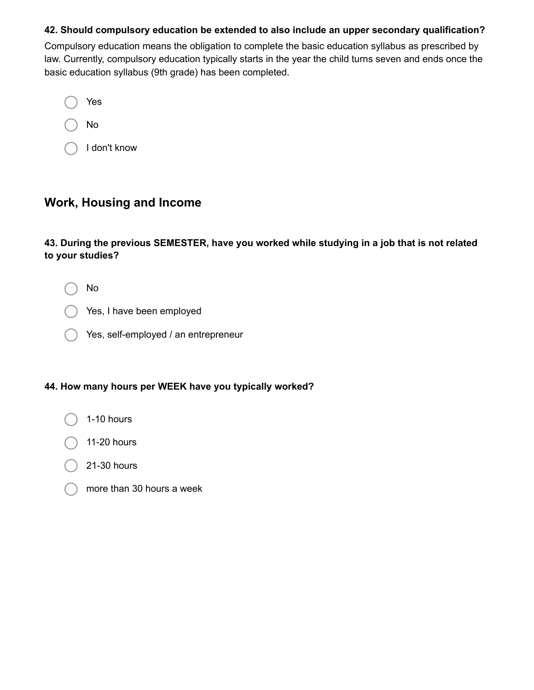#### **42. Should compulsory education be extended to also include an upper secondary qualification?**

Compulsory education means the obligation to complete the basic education syllabus as prescribed by law. Currently, compulsory education typically starts in the year the child turns seven and ends once the basic education syllabus (9th grade) has been completed.

Yes No I don't know

## **Work, Housing and Income**

**43. During the previous SEMESTER, have you worked while studying in a job that is not related to your studies?**

No

- Yes, I have been employed
- Yes, self-employed / an entrepreneur

#### **44. How many hours per WEEK have you typically worked?**

- 1-10 hours
- 11-20 hours
- 21-30 hours
- more than 30 hours a week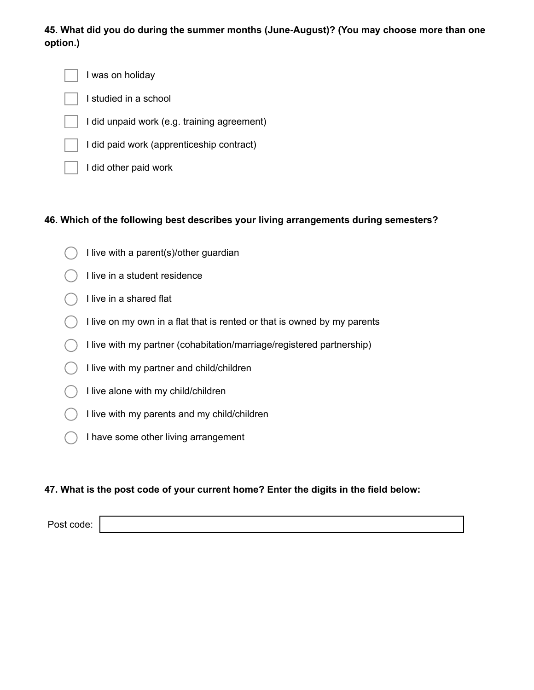## **45. What did you do during the summer months (June-August)? (You may choose more than one option.)**

I was on holiday

- I studied in a school
- I did unpaid work (e.g. training agreement)
- I did paid work (apprenticeship contract)
- I did other paid work

### **46. Which of the following best describes your living arrangements during semesters?**

- I live with a parent(s)/other guardian
- I live in a student residence
- I live in a shared flat
- I live on my own in a flat that is rented or that is owned by my parents
- I live with my partner (cohabitation/marriage/registered partnership)
- I live with my partner and child/children
- I live alone with my child/children
- $\bigcirc$  I live with my parents and my child/children
	- I have some other living arrangement

### **47. What is the post code of your current home? Enter the digits in the field below:**

Post code: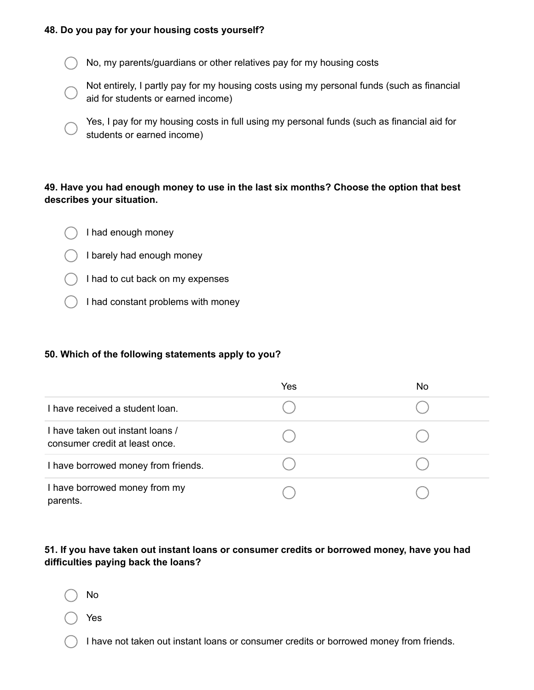#### **48. Do you pay for your housing costs yourself?**

No, my parents/guardians or other relatives pay for my housing costs

Not entirely, I partly pay for my housing costs using my personal funds (such as financial aid for students or earned income)

Yes, I pay for my housing costs in full using my personal funds (such as financial aid for students or earned income)

#### **49. Have you had enough money to use in the last six months? Choose the option that best describes your situation.**

- I had enough money
- I barely had enough money
- $\bigcirc$  I had to cut back on my expenses
- $\binom{1}{1}$  I had constant problems with money

#### **50. Which of the following statements apply to you?**

|                                                                    | Yes | No |
|--------------------------------------------------------------------|-----|----|
| I have received a student loan.                                    |     |    |
| I have taken out instant loans /<br>consumer credit at least once. |     |    |
| I have borrowed money from friends.                                |     |    |
| I have borrowed money from my<br>parents.                          |     |    |

## **51. If you have taken out instant loans or consumer credits or borrowed money, have you had difficulties paying back the loans?**

No

Yes

I have not taken out instant loans or consumer credits or borrowed money from friends.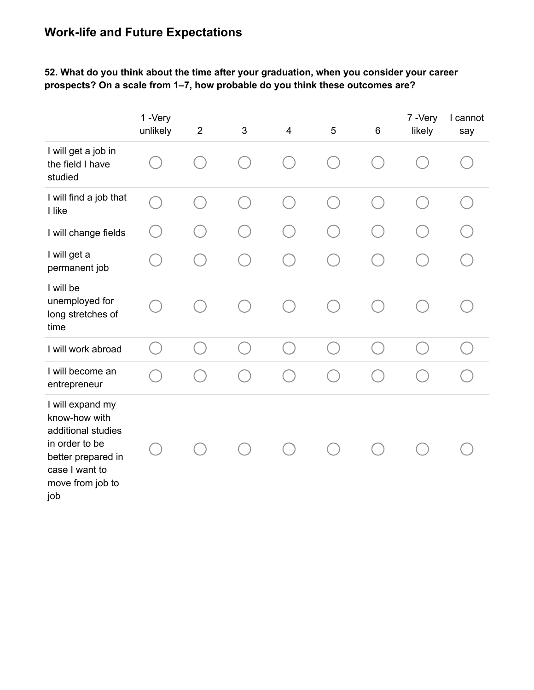# **Work-life and Future Expectations**

## **52. What do you think about the time after your graduation, when you consider your career prospects? On a scale from 1–7, how probable do you think these outcomes are?**

|                                                                                                                                              | 1-Very<br>unlikely | $\overline{2}$ | 3 | $\overline{4}$ | 5  | $\,6$                                  | 7-Very<br>likely | I cannot<br>say |
|----------------------------------------------------------------------------------------------------------------------------------------------|--------------------|----------------|---|----------------|----|----------------------------------------|------------------|-----------------|
| I will get a job in<br>the field I have<br>studied                                                                                           |                    |                |   |                |    |                                        |                  |                 |
| I will find a job that<br>I like                                                                                                             |                    |                |   |                |    | Œ                                      |                  |                 |
| I will change fields                                                                                                                         | $\mathbb{R}^n$     | C.             |   |                |    | e i                                    |                  |                 |
| I will get a<br>permanent job                                                                                                                |                    |                |   |                |    |                                        |                  |                 |
| I will be<br>unemployed for<br>long stretches of<br>time                                                                                     |                    |                |   |                |    |                                        |                  |                 |
| I will work abroad                                                                                                                           |                    | $\overline{a}$ |   |                | n. | $\begin{pmatrix} 1 \\ 1 \end{pmatrix}$ |                  |                 |
| I will become an<br>entrepreneur                                                                                                             |                    |                |   |                |    |                                        |                  |                 |
| I will expand my<br>know-how with<br>additional studies<br>in order to be<br>better prepared in<br>case I want to<br>move from job to<br>job |                    |                |   |                |    |                                        |                  |                 |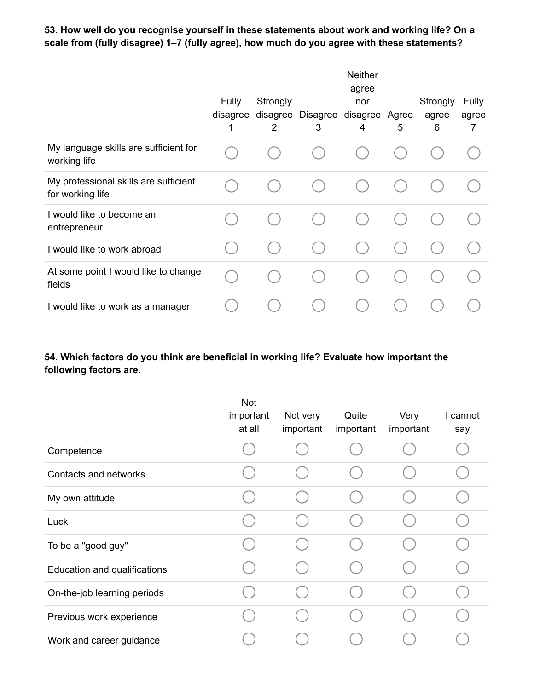## **53. How well do you recognise yourself in these statements about work and working life? On a scale from (fully disagree) 1–7 (fully agree), how much do you agree with these statements?**

|                                                           |                               |                           |                              | <b>Neither</b><br>agree |   |                        |                     |
|-----------------------------------------------------------|-------------------------------|---------------------------|------------------------------|-------------------------|---|------------------------|---------------------|
|                                                           | <b>Fully</b><br>disagree<br>1 | Strongly<br>disagree<br>2 | Disagree disagree Agree<br>3 | nor<br>4                | 5 | Strongly<br>agree<br>6 | Fully<br>agree<br>7 |
| My language skills are sufficient for<br>working life     |                               |                           |                              |                         |   |                        |                     |
| My professional skills are sufficient<br>for working life |                               |                           |                              |                         |   |                        |                     |
| I would like to become an<br>entrepreneur                 |                               |                           |                              |                         |   |                        |                     |
| I would like to work abroad                               |                               |                           |                              |                         |   |                        |                     |
| At some point I would like to change<br>fields            |                               |                           |                              |                         |   |                        |                     |
| I would like to work as a manager                         |                               |                           |                              |                         |   |                        |                     |

## **54. Which factors do you think are beneficial in working life? Evaluate how important the following factors are.**

|                              | Not<br>important<br>at all | Not very<br>important | Quite<br>important | Very<br>important | I cannot<br>say |
|------------------------------|----------------------------|-----------------------|--------------------|-------------------|-----------------|
| Competence                   |                            |                       |                    |                   |                 |
| Contacts and networks        |                            |                       |                    |                   |                 |
| My own attitude              |                            |                       |                    |                   |                 |
| Luck                         |                            |                       |                    |                   |                 |
| To be a "good guy"           |                            |                       |                    |                   |                 |
| Education and qualifications |                            |                       |                    |                   |                 |
| On-the-job learning periods  |                            |                       |                    |                   |                 |
| Previous work experience     |                            |                       |                    |                   |                 |
| Work and career guidance     |                            |                       |                    |                   |                 |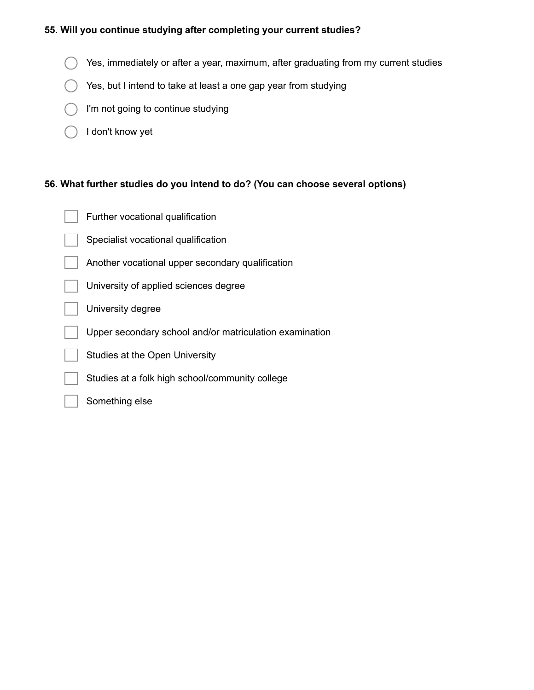## **55. Will you continue studying after completing your current studies?**

- Yes, immediately or after a year, maximum, after graduating from my current studies  $( )$
- Yes, but I intend to take at least a one gap year from studying  $($ )
- I'm not going to continue studying
- I don't know yet €.

## **56. What further studies do you intend to do? (You can choose several options)**

| Further vocational qualification                        |
|---------------------------------------------------------|
| Specialist vocational qualification                     |
| Another vocational upper secondary qualification        |
| University of applied sciences degree                   |
| University degree                                       |
| Upper secondary school and/or matriculation examination |
| Studies at the Open University                          |
| Studies at a folk high school/community college         |

Something else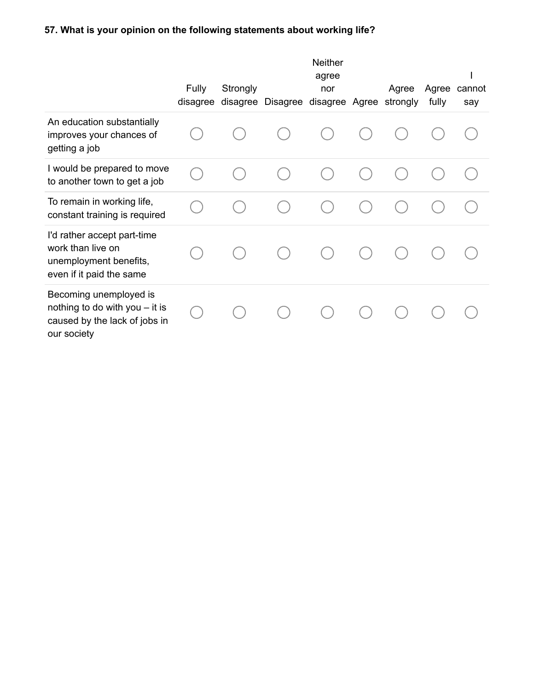## **57. What is your opinion on the following statements about working life?**

|                                                                                                            | Fully<br>disagree | Strongly<br>disagree | Disagree | <b>Neither</b><br>agree<br>nor<br>disagree Agree | Agree<br>strongly | Agree<br>fully | cannot<br>say |
|------------------------------------------------------------------------------------------------------------|-------------------|----------------------|----------|--------------------------------------------------|-------------------|----------------|---------------|
| An education substantially<br>improves your chances of<br>getting a job                                    |                   |                      |          |                                                  |                   |                |               |
| I would be prepared to move<br>to another town to get a job                                                |                   |                      |          |                                                  |                   |                |               |
| To remain in working life,<br>constant training is required                                                |                   |                      |          |                                                  |                   |                |               |
| I'd rather accept part-time<br>work than live on<br>unemployment benefits,<br>even if it paid the same     |                   |                      |          |                                                  |                   |                |               |
| Becoming unemployed is<br>nothing to do with you $-$ it is<br>caused by the lack of jobs in<br>our society |                   |                      |          |                                                  |                   |                |               |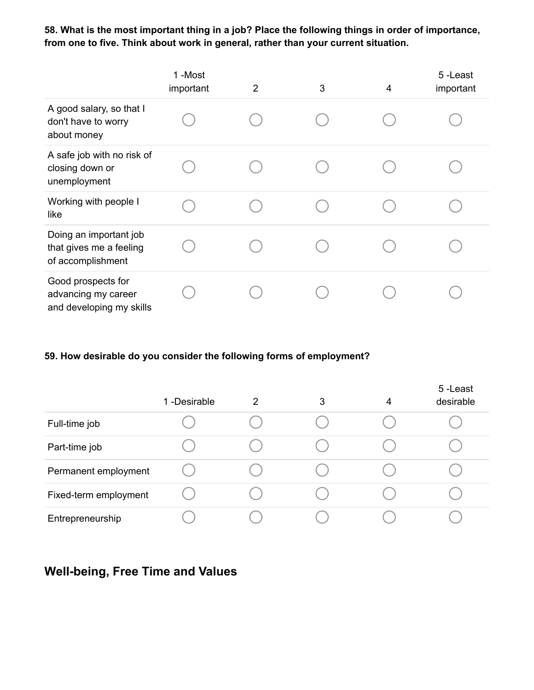**58. What is the most important thing in a job? Place the following things in order of importance, from one to five. Think about work in general, rather than your current situation.**

|                                                                        | 1-Most<br>important | $\overline{2}$ | 3 | 4 | 5-Least<br>important |
|------------------------------------------------------------------------|---------------------|----------------|---|---|----------------------|
| A good salary, so that I<br>don't have to worry<br>about money         |                     |                |   |   |                      |
| A safe job with no risk of<br>closing down or<br>unemployment          |                     |                |   |   |                      |
| Working with people I<br>like                                          |                     |                |   |   |                      |
| Doing an important job<br>that gives me a feeling<br>of accomplishment |                     |                |   |   |                      |
| Good prospects for<br>advancing my career<br>and developing my skills  |                     |                |   |   |                      |

#### **59. How desirable do you consider the following forms of employment?**

|                       | 1 -Desirable | 2 | 3 | 4 | 5-Least<br>desirable |
|-----------------------|--------------|---|---|---|----------------------|
| Full-time job         |              |   |   |   |                      |
| Part-time job         |              |   |   |   |                      |
| Permanent employment  |              |   |   |   |                      |
| Fixed-term employment |              |   |   |   |                      |
| Entrepreneurship      |              |   |   |   |                      |

## **Well-being, Free Time and Values**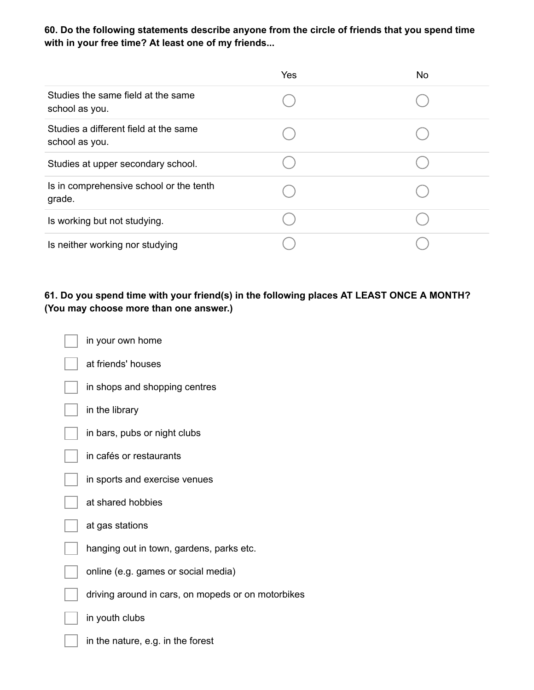**60. Do the following statements describe anyone from the circle of friends that you spend time with in your free time? At least one of my friends...**

|                                                         | Yes | <b>No</b> |
|---------------------------------------------------------|-----|-----------|
| Studies the same field at the same<br>school as you.    |     |           |
| Studies a different field at the same<br>school as you. |     |           |
| Studies at upper secondary school.                      |     |           |
| Is in comprehensive school or the tenth<br>grade.       |     |           |
| Is working but not studying.                            |     |           |
| Is neither working nor studying                         |     |           |

## **61. Do you spend time with your friend(s) in the following places AT LEAST ONCE A MONTH? (You may choose more than one answer.)**

|  | in your own home                                   |
|--|----------------------------------------------------|
|  | at friends' houses                                 |
|  | in shops and shopping centres                      |
|  | in the library                                     |
|  | in bars, pubs or night clubs                       |
|  | in cafés or restaurants                            |
|  | in sports and exercise venues                      |
|  | at shared hobbies                                  |
|  | at gas stations                                    |
|  | hanging out in town, gardens, parks etc.           |
|  | online (e.g. games or social media)                |
|  | driving around in cars, on mopeds or on motorbikes |
|  | in youth clubs                                     |
|  | in the nature, e.g. in the forest                  |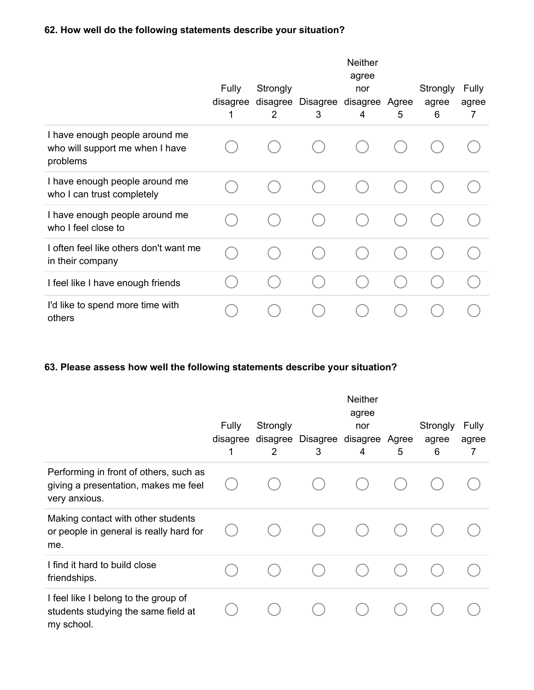## **62. How well do the following statements describe your situation?**

|                                                                               | <b>Fully</b><br>disagree<br>1 | Strongly<br>disagree<br>2 | Disagree disagree<br>3 | <b>Neither</b><br>agree<br>nor<br>4 | Agree<br>5 | Strongly<br>agree<br>6 | <b>Fully</b><br>agree<br>7 |
|-------------------------------------------------------------------------------|-------------------------------|---------------------------|------------------------|-------------------------------------|------------|------------------------|----------------------------|
| I have enough people around me<br>who will support me when I have<br>problems |                               |                           |                        |                                     |            |                        |                            |
| I have enough people around me<br>who I can trust completely                  |                               |                           |                        |                                     |            |                        |                            |
| I have enough people around me<br>who I feel close to                         |                               |                           |                        |                                     |            |                        |                            |
| I often feel like others don't want me<br>in their company                    |                               |                           |                        |                                     |            |                        |                            |
| I feel like I have enough friends                                             |                               |                           |                        |                                     |            |                        |                            |
| I'd like to spend more time with<br>others                                    |                               |                           |                        |                                     |            |                        |                            |

## **63. Please assess how well the following statements describe your situation?**

|                                                                                                 | <b>Fully</b><br>disagree<br>1 | Strongly<br>disagree<br>2 | Disagree disagree Agree<br>3 | <b>Neither</b><br>agree<br>nor<br>4 | 5 | Strongly<br>agree<br>6 | <b>Fully</b><br>agree<br>7 |
|-------------------------------------------------------------------------------------------------|-------------------------------|---------------------------|------------------------------|-------------------------------------|---|------------------------|----------------------------|
| Performing in front of others, such as<br>giving a presentation, makes me feel<br>very anxious. |                               |                           |                              |                                     |   |                        |                            |
| Making contact with other students<br>or people in general is really hard for<br>me.            |                               |                           |                              |                                     |   |                        |                            |
| I find it hard to build close<br>friendships.                                                   |                               |                           |                              |                                     |   |                        |                            |
| I feel like I belong to the group of<br>students studying the same field at<br>my school.       |                               |                           |                              |                                     |   |                        |                            |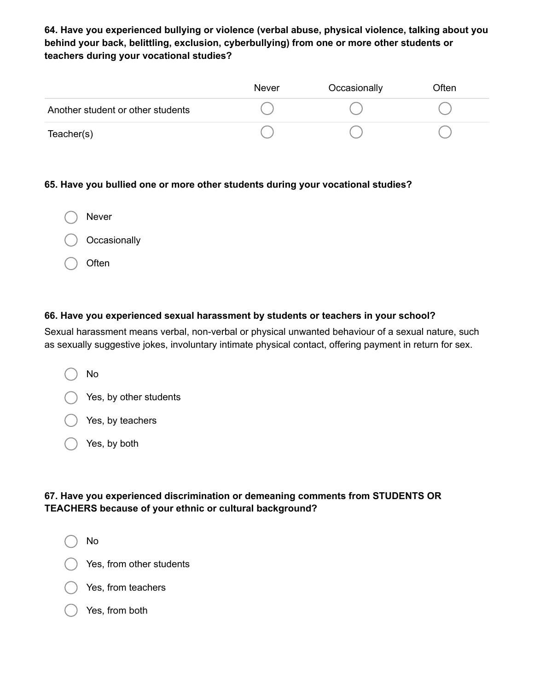## **64. Have you experienced bullying or violence (verbal abuse, physical violence, talking about you behind your back, belittling, exclusion, cyberbullying) from one or more other students or teachers during your vocational studies?**

|                                   | Never | Occasionally | Often |
|-----------------------------------|-------|--------------|-------|
| Another student or other students |       |              |       |
| Teacher(s)                        |       |              |       |

#### **65. Have you bullied one or more other students during your vocational studies?**

| Never        |
|--------------|
| Occasionally |
| Often        |

#### **66. Have you experienced sexual harassment by students or teachers in your school?**

Sexual harassment means verbal, non-verbal or physical unwanted behaviour of a sexual nature, such as sexually suggestive jokes, involuntary intimate physical contact, offering payment in return for sex.

|  | No |
|--|----|
|  |    |

Yes, by other students

Yes, by teachers

Yes, by both

## **67. Have you experienced discrimination or demeaning comments from STUDENTS OR TEACHERS because of your ethnic or cultural background?**

No

Yes, from other students

Yes, from teachers

#### Yes, from both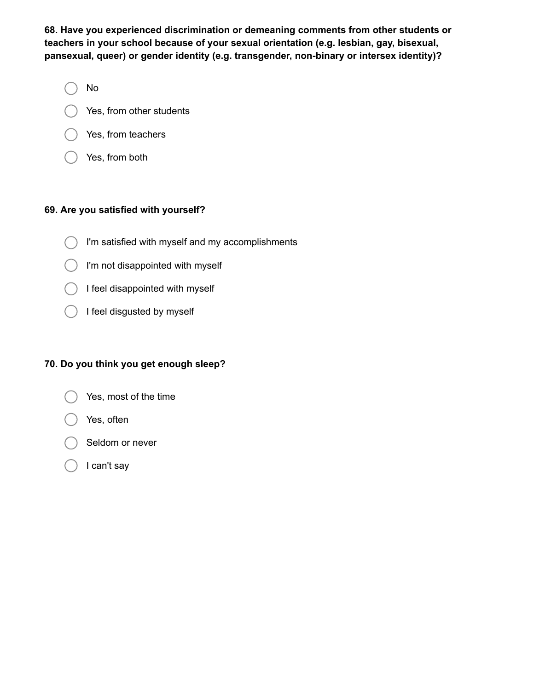**68. Have you experienced discrimination or demeaning comments from other students or teachers in your school because of your sexual orientation (e.g. lesbian, gay, bisexual, pansexual, queer) or gender identity (e.g. transgender, non-binary or intersex identity)?**

- No
- Yes, from other students
- Yes, from teachers
- Yes, from both

### **69. Are you satisfied with yourself?**

- I'm satisfied with myself and my accomplishments
- $\bigcap$  I'm not disappointed with myself
- I feel disappointed with myself
- I feel disgusted by myself

## **70. Do you think you get enough sleep?**

- Yes, most of the time
	- Yes, often
- Seldom or never
- I can't say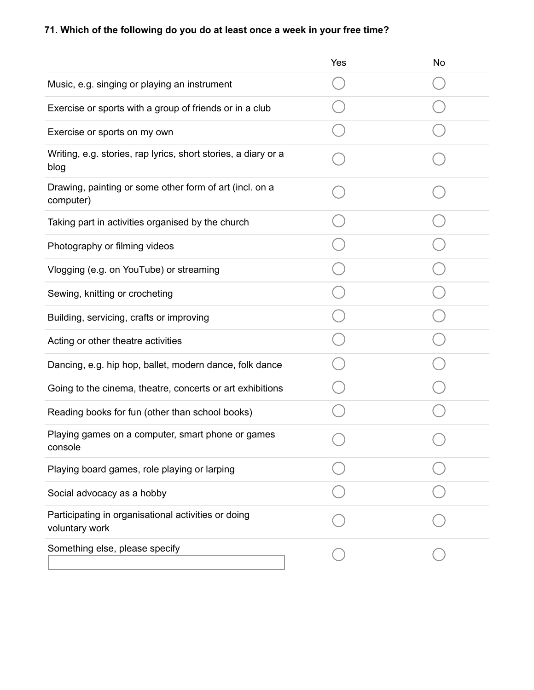# **71. Which of the following do you do at least once a week in your free time?**

|                                                                        | Yes | No |
|------------------------------------------------------------------------|-----|----|
| Music, e.g. singing or playing an instrument                           |     |    |
| Exercise or sports with a group of friends or in a club                |     |    |
| Exercise or sports on my own                                           |     |    |
| Writing, e.g. stories, rap lyrics, short stories, a diary or a<br>blog |     |    |
| Drawing, painting or some other form of art (incl. on a<br>computer)   |     |    |
| Taking part in activities organised by the church                      |     |    |
| Photography or filming videos                                          |     |    |
| Vlogging (e.g. on YouTube) or streaming                                |     |    |
| Sewing, knitting or crocheting                                         |     |    |
| Building, servicing, crafts or improving                               |     |    |
| Acting or other theatre activities                                     |     |    |
| Dancing, e.g. hip hop, ballet, modern dance, folk dance                |     |    |
| Going to the cinema, theatre, concerts or art exhibitions              |     |    |
| Reading books for fun (other than school books)                        |     |    |
| Playing games on a computer, smart phone or games<br>console           |     |    |
| Playing board games, role playing or larping                           |     |    |
| Social advocacy as a hobby                                             |     |    |
| Participating in organisational activities or doing<br>voluntary work  |     |    |
| Something else, please specify                                         |     |    |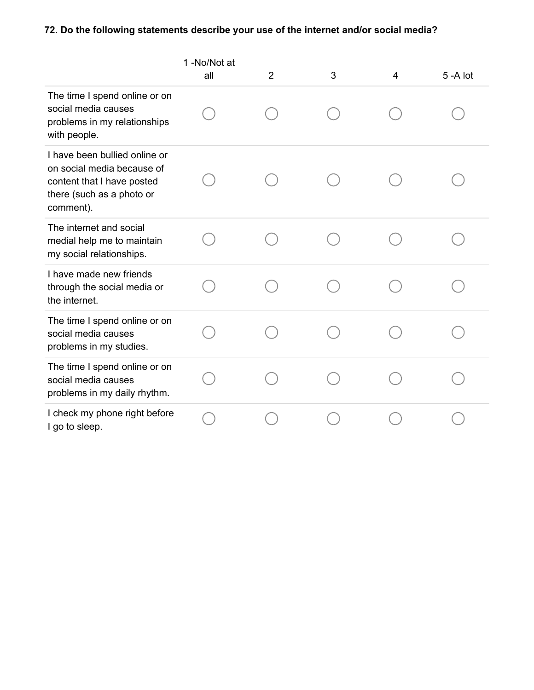# **72. Do the following statements describe your use of the internet and/or social media?**

|                                                                                                                                     | 1 -No/Not at<br>all | $\overline{2}$ | 3 | 4 | $5 - A$ lot |
|-------------------------------------------------------------------------------------------------------------------------------------|---------------------|----------------|---|---|-------------|
| The time I spend online or on<br>social media causes<br>problems in my relationships<br>with people.                                |                     |                |   |   |             |
| I have been bullied online or<br>on social media because of<br>content that I have posted<br>there (such as a photo or<br>comment). |                     |                |   |   |             |
| The internet and social<br>medial help me to maintain<br>my social relationships.                                                   |                     |                |   |   |             |
| I have made new friends<br>through the social media or<br>the internet.                                                             |                     |                |   |   |             |
| The time I spend online or on<br>social media causes<br>problems in my studies.                                                     |                     |                |   |   |             |
| The time I spend online or on<br>social media causes<br>problems in my daily rhythm.                                                |                     |                |   |   |             |
| I check my phone right before<br>I go to sleep.                                                                                     |                     |                |   |   |             |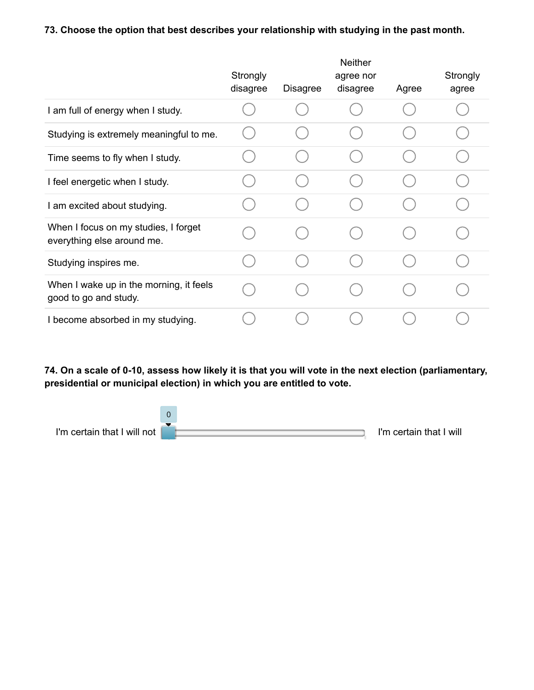## **73. Choose the option that best describes your relationship with studying in the past month.**

|                                                                    | Strongly<br>disagree | <b>Disagree</b> | <b>Neither</b><br>agree nor<br>disagree | Agree | Strongly<br>agree |
|--------------------------------------------------------------------|----------------------|-----------------|-----------------------------------------|-------|-------------------|
| I am full of energy when I study.                                  |                      |                 |                                         |       |                   |
| Studying is extremely meaningful to me.                            |                      |                 |                                         |       |                   |
| Time seems to fly when I study.                                    |                      |                 |                                         |       |                   |
| I feel energetic when I study.                                     |                      |                 |                                         |       |                   |
| I am excited about studying.                                       |                      |                 |                                         |       |                   |
| When I focus on my studies, I forget<br>everything else around me. |                      |                 |                                         |       |                   |
| Studying inspires me.                                              |                      |                 |                                         |       |                   |
| When I wake up in the morning, it feels<br>good to go and study.   |                      |                 |                                         |       |                   |
| I become absorbed in my studying.                                  |                      |                 |                                         |       |                   |

**74. On a scale of 0-10, assess how likely it is that you will vote in the next election (parliamentary, presidential or municipal election) in which you are entitled to vote.**

I'm certain that I will not **I'm certain that I will** 0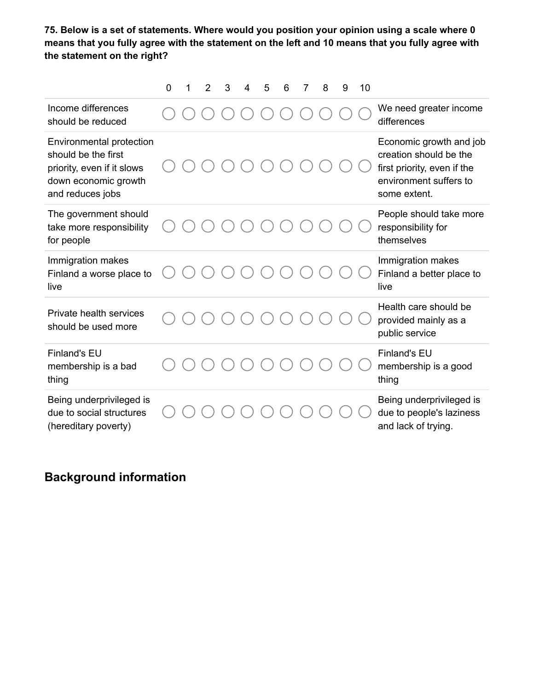**75. Below is a set of statements. Where would you position your opinion using a scale where 0 means that you fully agree with the statement on the left and 10 means that you fully agree with the statement on the right?**

|                                                                                                                                  | 0 | 1 | 2 | 3 | 4 | 5 | 6 | 8 | 9 | 10 |                                                                                                                            |
|----------------------------------------------------------------------------------------------------------------------------------|---|---|---|---|---|---|---|---|---|----|----------------------------------------------------------------------------------------------------------------------------|
| Income differences<br>should be reduced                                                                                          |   |   |   |   |   |   |   |   |   |    | We need greater income<br>differences                                                                                      |
| <b>Environmental protection</b><br>should be the first<br>priority, even if it slows<br>down economic growth<br>and reduces jobs |   |   |   |   |   |   |   |   |   |    | Economic growth and job<br>creation should be the<br>first priority, even if the<br>environment suffers to<br>some extent. |
| The government should<br>take more responsibility<br>for people                                                                  |   |   |   |   |   |   |   |   |   |    | People should take more<br>responsibility for<br>themselves                                                                |
| Immigration makes<br>Finland a worse place to<br>live                                                                            |   |   |   |   |   |   |   |   |   |    | Immigration makes<br>Finland a better place to<br>live                                                                     |
| Private health services<br>should be used more                                                                                   |   |   |   |   |   |   |   |   |   |    | Health care should be<br>provided mainly as a<br>public service                                                            |
| <b>Finland's EU</b><br>membership is a bad<br>thing                                                                              |   |   |   |   |   |   |   |   |   |    | <b>Finland's EU</b><br>membership is a good<br>thing                                                                       |
| Being underprivileged is<br>due to social structures<br>(hereditary poverty)                                                     |   |   |   |   |   |   |   |   |   |    | Being underprivileged is<br>due to people's laziness<br>and lack of trying.                                                |

## **Background information**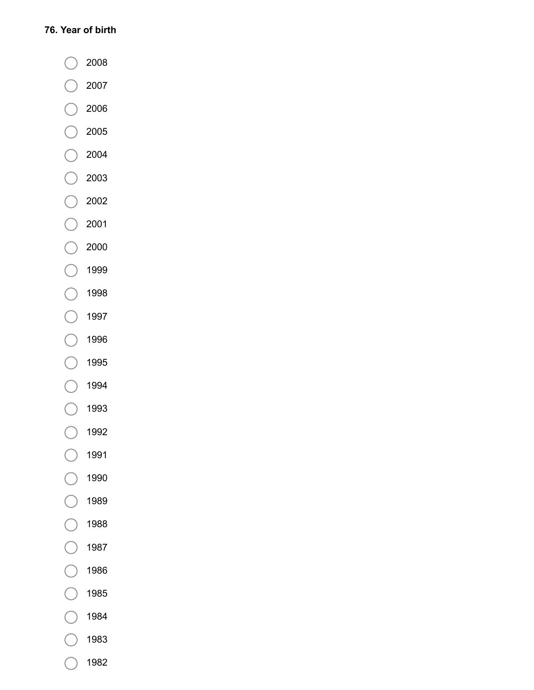### **76. Year of birth**

- 2008  $(\Box$
- 2007  $\left( \begin{array}{c} \end{array} \right)$
- 2006
- 2005  $(\Box$
- 2004
- 2003  $(\ )$
- 2002  $(\Box$
- 2001  $\begin{array}{c} \begin{array}{c} \end{array} \end{array}$
- 2000  $(\ )$
- 1999  $($ )
- 1998  $($ )
- 1997  $\begin{array}{c} \begin{array}{c} \end{array} \end{array}$
- 1996  $($ )
- 1995  $(\ )$
- 1994  $($ )
- 1993  $(\ )$
- 1992  $($ )
- 1991  $( )$
- 1990  $\left( \begin{array}{c} \end{array} \right)$
- 1989  $(\ )$
- 1988  $($ )
- 1987  $($ )
- 1986  $($ )
- 1985  $\left( \begin{array}{c} \end{array} \right)$
- 1984
- 1983
- 1982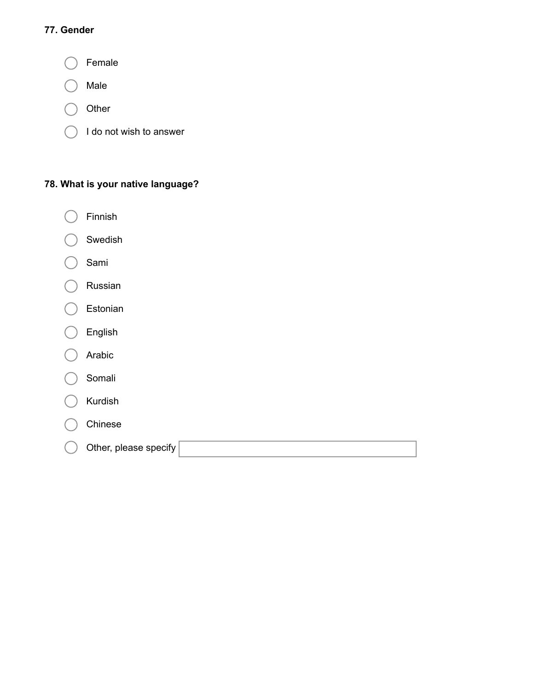## **77. Gender**



## **78. What is your native language?**

- Finnish €
- Swedish
- Sami
- Russian
- Estonian €.
- English
- Arabic
- Somali
- Kurdish
- Chinese
- Other, please specify€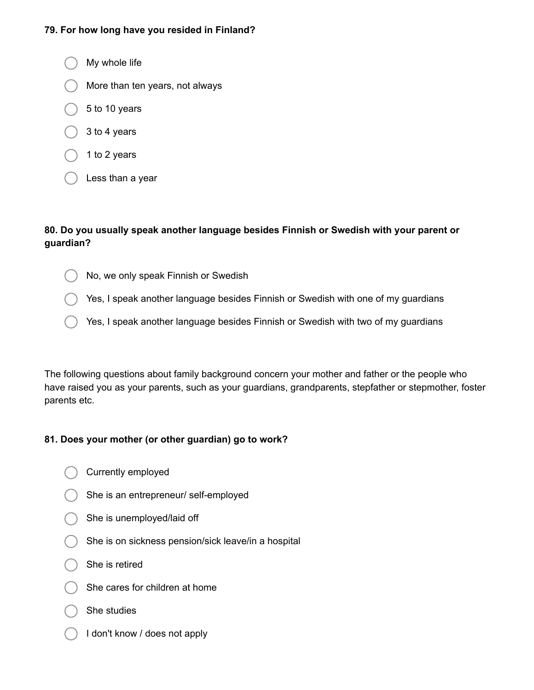#### **79. For how long have you resided in Finland?**

My whole life More than ten years, not always 5 to 10 years 3 to 4 years 1 to 2 years Less than a year

### **80. Do you usually speak another language besides Finnish or Swedish with your parent or guardian?**

- No, we only speak Finnish or Swedish
- Yes, I speak another language besides Finnish or Swedish with one of my guardians
- Yes, I speak another language besides Finnish or Swedish with two of my guardians

The following questions about family background concern your mother and father or the people who have raised you as your parents, such as your guardians, grandparents, stepfather or stepmother, foster parents etc.

#### **81. Does your mother (or other guardian) go to work?**

- Currently employed
- She is an entrepreneur/ self-employed
- She is unemployed/laid off
- $($   $)$  She is on sickness pension/sick leave/in a hospital
- She is retired
- She cares for children at home
- She studies
- I don't know / does not apply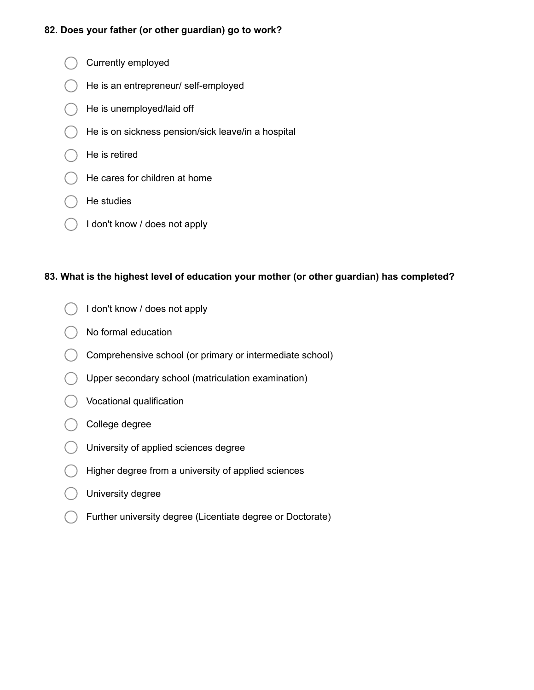#### **82. Does your father (or other guardian) go to work?**

- Currently employed
- He is an entrepreneur/ self-employed
- He is unemployed/laid off
- He is on sickness pension/sick leave/in a hospital
- He is retired
- He cares for children at home
- He studies
- I don't know / does not apply

#### **83. What is the highest level of education your mother (or other guardian) has completed?**

- I don't know / does not apply
- No formal education
- Comprehensive school (or primary or intermediate school)
- Upper secondary school (matriculation examination)
- Vocational qualification
- College degree
- University of applied sciences degree
- Higher degree from a university of applied sciences
- University degree
- Further university degree (Licentiate degree or Doctorate)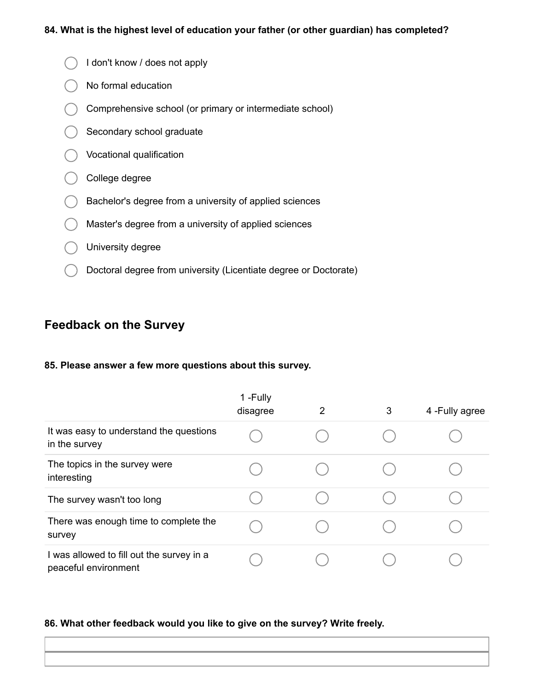#### **84. What is the highest level of education your father (or other guardian) has completed?**

- I don't know / does not apply
- No formal education
- Comprehensive school (or primary or intermediate school)
- Secondary school graduate
- Vocational qualification
- College degree
- Bachelor's degree from a university of applied sciences
- Master's degree from a university of applied sciences
- **O** University degree
- Doctoral degree from university (Licentiate degree or Doctorate)

## **Feedback on the Survey**

#### **85. Please answer a few more questions about this survey.**

|                                                                   | 1-Fully<br>disagree | 2 | 3 | 4 - Fully agree |
|-------------------------------------------------------------------|---------------------|---|---|-----------------|
| It was easy to understand the questions<br>in the survey          |                     |   |   |                 |
| The topics in the survey were<br>interesting                      |                     |   |   |                 |
| The survey wasn't too long                                        |                     |   |   |                 |
| There was enough time to complete the<br>survey                   |                     |   |   |                 |
| I was allowed to fill out the survey in a<br>peaceful environment |                     |   |   |                 |

#### **86. What other feedback would you like to give on the survey? Write freely.**